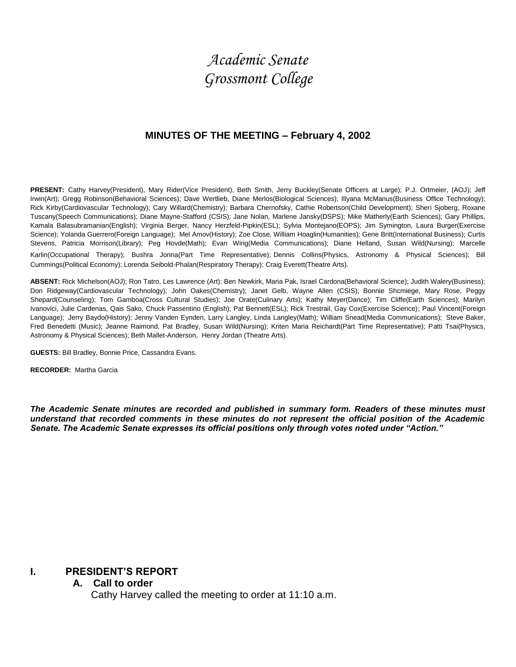# *Academic Senate Grossmont College*

#### **MINUTES OF THE MEETING – February 4, 2002**

PRESENT: Cathy Harvey(President), Mary Rider(Vice President), Beth Smith, Jerry Buckley(Senate Officers at Large); P.J. Ortmeier, (AOJ); Jeff Irwin(Art); Gregg Robinson(Behavioral Sciences); Dave Wertlieb, Diane Merlos(Biological Sciences); Illyana McManus(Business Office Technology); Rick Kirby(Cardiovascular Technology); Cary Willard(Chemistry); Barbara Chernofsky, Cathie Robertson(Child Development); Sheri Sjoberg, Roxane Tuscany(Speech Communications); Diane Mayne-Stafford (CSIS); Jane Nolan, Marlene Jansky(DSPS); Mike Matherly(Earth Sciences); Gary Phillips, Kamala Balasubramanian(English); Virginia Berger, Nancy Herzfeld-Pipkin(ESL); Sylvia Montejano(EOPS); Jim Symington, Laura Burger(Exercise Science); Yolanda Guerrero(Foreign Language); Mel Amov(History); Zoe Close, William Hoaglin(Humanities); Gene Britt(International Business); Curtis Stevens, Patricia Morrison(Library); Peg Hovde(Math); Evan Wirig(Media Communications); Diane Helland, Susan Wild(Nursing); Marcelle Karlin(Occupational Therapy); Bushra Jonna(Part Time Representative); Dennis Collins(Physics, Astronomy & Physical Sciences); Bill Cummings(Political Economy); Lorenda Seibold-Phalan(Respiratory Therapy); Craig Everett(Theatre Arts).

**ABSENT:** Rick Michelson(AOJ); Ron Tatro, Les Lawrence (Art); Ben Newkirk, Maria Pak, Israel Cardona(Behavioral Science); Judith Walery(Business); Don Ridgeway(Cardiovascular Technology); John Oakes(Chemistry); Janet Gelb, Wayne Allen (CSIS); Bonnie Shcmiege, Mary Rose, Peggy Shepard(Counseling); Tom Gamboa(Cross Cultural Studies); Joe Orate(Culinary Arts); Kathy Meyer(Dance); Tim Cliffe(Earth Sciences); Marilyn Ivanovici, Julie Cardenas, Qais Sako, Chuck Passentino (English); Pat Bennett(ESL); Rick Trestrail, Gay Cox(Exercise Science); Paul Vincent(Foreign Language); Jerry Baydo(History); Jenny Vanden Eynden, Larry Langley, Linda Langley(Math); William Snead(Media Communications); Steve Baker, Fred Benedetti (Music); Jeanne Raimond, Pat Bradley, Susan Wild(Nursing); Kriten Maria Reichardt(Part Time Representative); Patti Tsai(Physics, Astronomy & Physical Sciences); Beth Mallet-Anderson, Henry Jordan (Theatre Arts).

**GUESTS:** Bill Bradley, Bonnie Price, Cassandra Evans.

**RECORDER:** Martha Garcia

*The Academic Senate minutes are recorded and published in summary form. Readers of these minutes must understand that recorded comments in these minutes do not represent the official position of the Academic Senate. The Academic Senate expresses its official positions only through votes noted under "Action."*

#### **I. PRESIDENT'S REPORT**

#### **A. Call to order**

Cathy Harvey called the meeting to order at 11:10 a.m.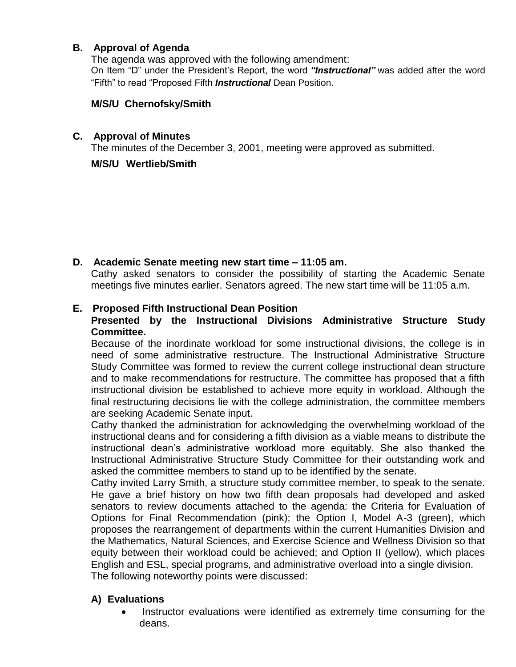### **B. Approval of Agenda**

The agenda was approved with the following amendment: On Item "D" under the President's Report, the word *"Instructional"* was added after the word "Fifth" to read "Proposed Fifth *Instructional* Dean Position.

### **M/S/U Chernofsky/Smith**

#### **C. Approval of Minutes**

The minutes of the December 3, 2001, meeting were approved as submitted.

#### **M/S/U Wertlieb/Smith**

#### **D. Academic Senate meeting new start time – 11:05 am.**

Cathy asked senators to consider the possibility of starting the Academic Senate meetings five minutes earlier. Senators agreed. The new start time will be 11:05 a.m.

#### **E. Proposed Fifth Instructional Dean Position**

#### **Presented by the Instructional Divisions Administrative Structure Study Committee.**

Because of the inordinate workload for some instructional divisions, the college is in need of some administrative restructure. The Instructional Administrative Structure Study Committee was formed to review the current college instructional dean structure and to make recommendations for restructure. The committee has proposed that a fifth instructional division be established to achieve more equity in workload. Although the final restructuring decisions lie with the college administration, the committee members are seeking Academic Senate input.

Cathy thanked the administration for acknowledging the overwhelming workload of the instructional deans and for considering a fifth division as a viable means to distribute the instructional dean's administrative workload more equitably. She also thanked the Instructional Administrative Structure Study Committee for their outstanding work and asked the committee members to stand up to be identified by the senate.

Cathy invited Larry Smith, a structure study committee member, to speak to the senate. He gave a brief history on how two fifth dean proposals had developed and asked senators to review documents attached to the agenda: the Criteria for Evaluation of Options for Final Recommendation (pink); the Option I, Model A-3 (green), which proposes the rearrangement of departments within the current Humanities Division and the Mathematics, Natural Sciences, and Exercise Science and Wellness Division so that equity between their workload could be achieved; and Option II (yellow), which places English and ESL, special programs, and administrative overload into a single division. The following noteworthy points were discussed:

### **A) Evaluations**

 Instructor evaluations were identified as extremely time consuming for the deans.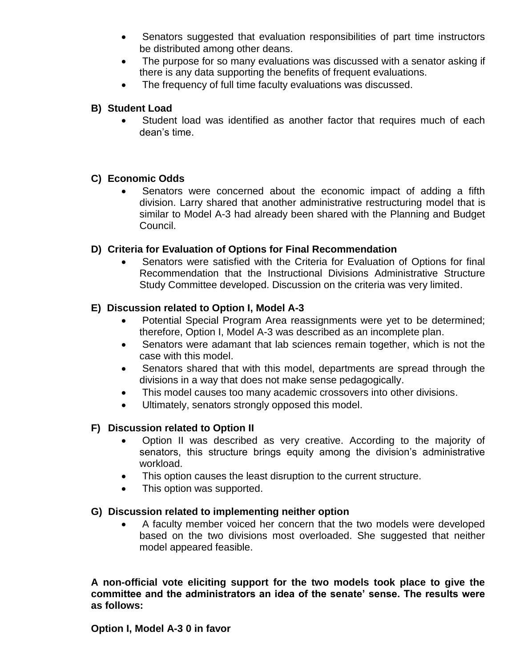- Senators suggested that evaluation responsibilities of part time instructors be distributed among other deans.
- The purpose for so many evaluations was discussed with a senator asking if there is any data supporting the benefits of frequent evaluations.
- The frequency of full time faculty evaluations was discussed.

### **B) Student Load**

 Student load was identified as another factor that requires much of each dean's time.

### **C) Economic Odds**

 Senators were concerned about the economic impact of adding a fifth division. Larry shared that another administrative restructuring model that is similar to Model A-3 had already been shared with the Planning and Budget Council.

### **D) Criteria for Evaluation of Options for Final Recommendation**

 Senators were satisfied with the Criteria for Evaluation of Options for final Recommendation that the Instructional Divisions Administrative Structure Study Committee developed. Discussion on the criteria was very limited.

### **E) Discussion related to Option I, Model A-3**

- Potential Special Program Area reassignments were yet to be determined; therefore, Option I, Model A-3 was described as an incomplete plan.
- Senators were adamant that lab sciences remain together, which is not the case with this model.
- Senators shared that with this model, departments are spread through the divisions in a way that does not make sense pedagogically.
- This model causes too many academic crossovers into other divisions.
- Ultimately, senators strongly opposed this model.

### **F) Discussion related to Option II**

- Option II was described as very creative. According to the majority of senators, this structure brings equity among the division's administrative workload.
- This option causes the least disruption to the current structure.
- This option was supported.

### **G) Discussion related to implementing neither option**

 A faculty member voiced her concern that the two models were developed based on the two divisions most overloaded. She suggested that neither model appeared feasible.

**A non-official vote eliciting support for the two models took place to give the committee and the administrators an idea of the senate' sense. The results were as follows:**

**Option I, Model A-3 0 in favor**